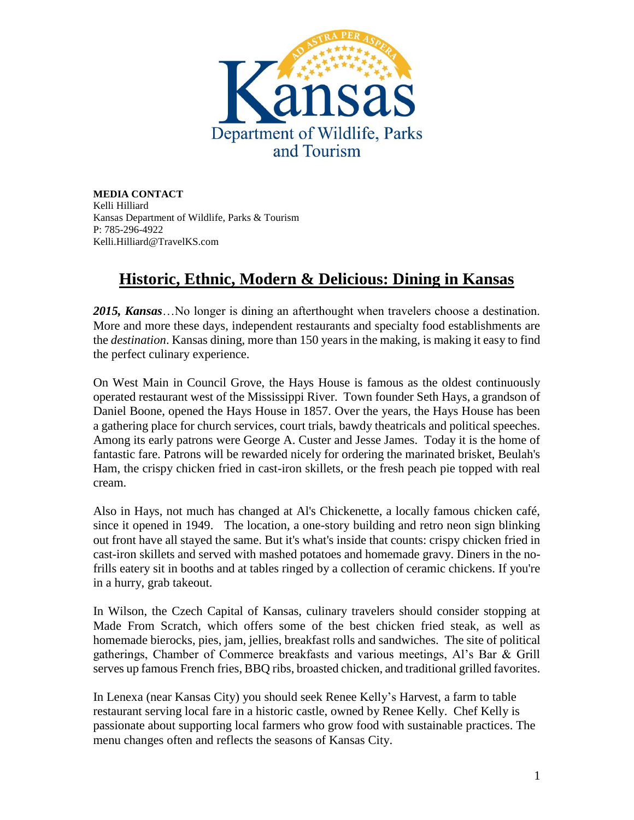

**MEDIA CONTACT** Kelli Hilliard Kansas Department of Wildlife, Parks & Tourism P: 785-296-4922 Kelli.Hilliard@TravelKS.com

## **Historic, Ethnic, Modern & Delicious: Dining in Kansas**

*2015, Kansas*…No longer is dining an afterthought when travelers choose a destination. More and more these days, independent restaurants and specialty food establishments are the *destination*. Kansas dining, more than 150 years in the making, is making it easy to find the perfect culinary experience.

On West Main in Council Grove, the Hays House is famous as the oldest continuously operated restaurant west of the Mississippi River. Town founder Seth Hays, a grandson of Daniel Boone, opened the Hays House in 1857. Over the years, the Hays House has been a gathering place for church services, court trials, bawdy theatricals and political speeches. Among its early patrons were George A. Custer and Jesse James. Today it is the home of fantastic fare. Patrons will be rewarded nicely for ordering the marinated brisket, Beulah's Ham, the crispy chicken fried in cast-iron skillets, or the fresh peach pie topped with real cream.

Also in Hays, not much has changed at Al's Chickenette, a locally famous chicken café, since it opened in 1949. The location, a one-story building and retro neon sign blinking out front have all stayed the same. But it's what's inside that counts: crispy chicken fried in cast-iron skillets and served with mashed potatoes and homemade gravy. Diners in the nofrills eatery sit in booths and at tables ringed by a collection of ceramic chickens. If you're in a hurry, grab takeout.

In Wilson, the Czech Capital of Kansas, culinary travelers should consider stopping at Made From Scratch, which offers some of the best chicken fried steak, as well as homemade bierocks, pies, jam, jellies, breakfast rolls and sandwiches. The site of political gatherings, Chamber of Commerce breakfasts and various meetings, Al's Bar & Grill serves up famous French fries, BBQ ribs, broasted chicken, and traditional grilled favorites.

In Lenexa (near Kansas City) you should seek Renee Kelly's Harvest, a farm to table restaurant serving local fare in a historic castle, owned by Renee Kelly. Chef Kelly is passionate about supporting local farmers who grow food with sustainable practices. The menu changes often and reflects the seasons of Kansas City.